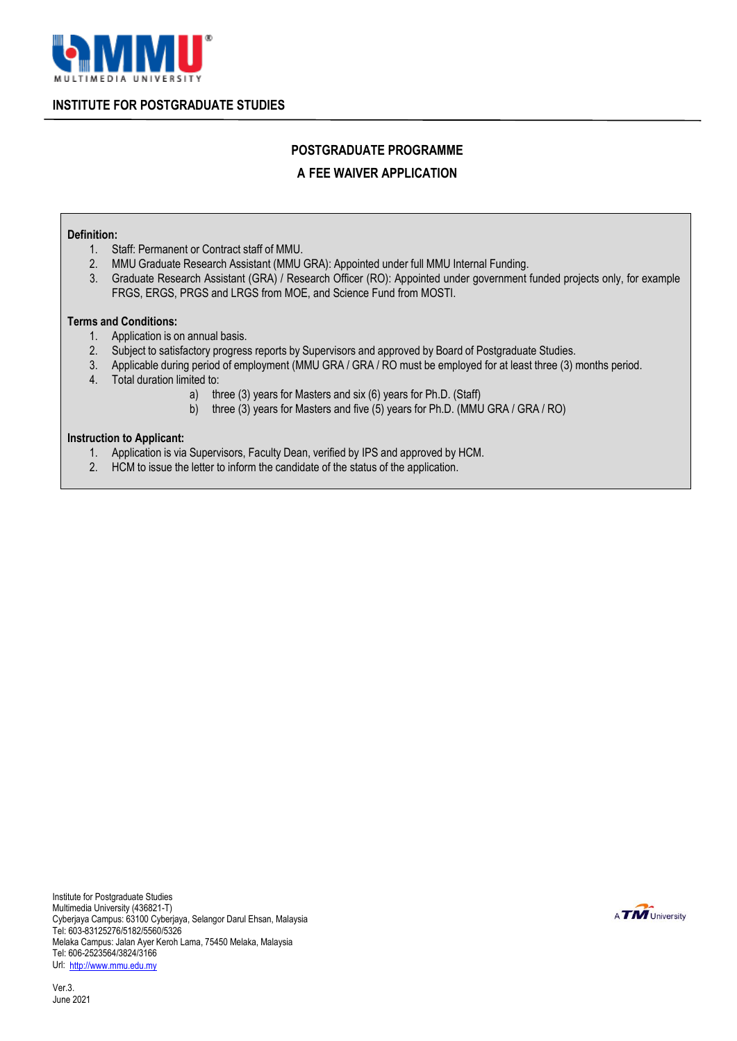

**INSTITUTE FOR POSTGRADUATE STUDIES**

## **POSTGRADUATE PROGRAMME**

## **A FEE WAIVER APPLICATION**

#### **Definition:**

- 1. Staff: Permanent or Contract staff of MMU.<br>2. MMU Graduate Research Assistant (MMU)
- 2. MMU Graduate Research Assistant (MMU GRA): Appointed under full MMU Internal Funding.
- 3. Graduate Research Assistant (GRA) / Research Officer (RO): Appointed under government funded projects only, for example FRGS, ERGS, PRGS and LRGS from MOE, and Science Fund from MOSTI.

#### **Terms and Conditions:**

- 1. Application is on annual basis.
- 2. Subject to satisfactory progress reports by Supervisors and approved by Board of Postgraduate Studies.
- 3. Applicable during period of employment (MMU GRA / GRA / RO must be employed for at least three (3) months period.
- 4. Total duration limited to:
	- a) three (3) years for Masters and six (6) years for Ph.D. (Staff)
	- b) three (3) years for Masters and five (5) years for Ph.D. (MMU GRA / GRA / RO)

#### **Instruction to Applicant:**

- 1. Application is via Supervisors, Faculty Dean, verified by IPS and approved by HCM.
- 2. HCM to issue the letter to inform the candidate of the status of the application.

Institute for Postgraduate Studies Multimedia University (436821-T) Cyberjaya Campus: 63100 Cyberjaya, Selangor Darul Ehsan, Malaysia Tel: 603-83125276/5182/5560/5326 Melaka Campus: Jalan Ayer Keroh Lama, 75450 Melaka, Malaysia Tel: 606-2523564/3824/3166 Url: [http://www.mmu.edu.my](http://www.mmu.edu.my/)

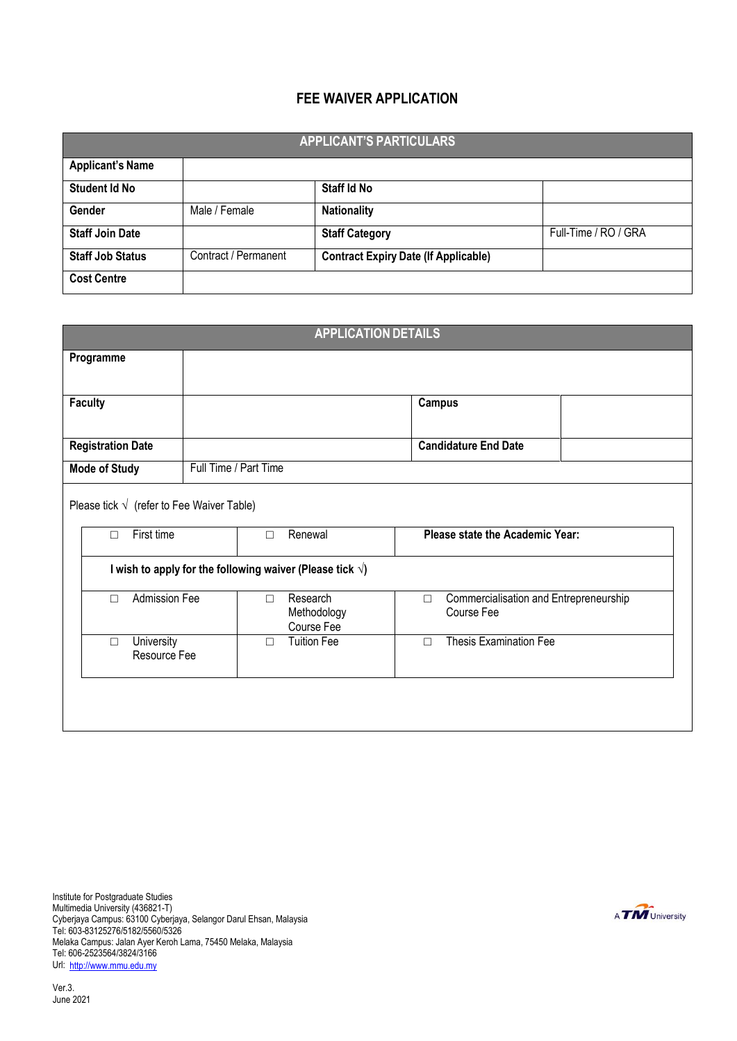## **FEE WAIVER APPLICATION**

| <b>APPLICANT'S PARTICULARS</b> |                      |                                             |                      |  |  |  |
|--------------------------------|----------------------|---------------------------------------------|----------------------|--|--|--|
| <b>Applicant's Name</b>        |                      |                                             |                      |  |  |  |
| Student Id No                  |                      | Staff Id No                                 |                      |  |  |  |
| Gender                         | Male / Female        | <b>Nationality</b>                          |                      |  |  |  |
| <b>Staff Join Date</b>         |                      | <b>Staff Category</b>                       | Full-Time / RO / GRA |  |  |  |
| <b>Staff Job Status</b>        | Contract / Permanent | <b>Contract Expiry Date (If Applicable)</b> |                      |  |  |  |
| <b>Cost Centre</b>             |                      |                                             |                      |  |  |  |

| <b>APPLICATION DETAILS</b>                        |                                                                    |                                                                |  |  |  |  |
|---------------------------------------------------|--------------------------------------------------------------------|----------------------------------------------------------------|--|--|--|--|
| Programme                                         |                                                                    |                                                                |  |  |  |  |
|                                                   |                                                                    |                                                                |  |  |  |  |
| <b>Faculty</b>                                    |                                                                    | <b>Campus</b>                                                  |  |  |  |  |
| <b>Registration Date</b>                          |                                                                    | <b>Candidature End Date</b>                                    |  |  |  |  |
| <b>Mode of Study</b>                              | Full Time / Part Time                                              |                                                                |  |  |  |  |
| Please tick $\sqrt{}$ (refer to Fee Waiver Table) |                                                                    |                                                                |  |  |  |  |
| First time<br>$\Box$                              | Please state the Academic Year:<br>Renewal<br>$\Box$               |                                                                |  |  |  |  |
|                                                   | I wish to apply for the following waiver (Please tick $\sqrt{ }$ ) |                                                                |  |  |  |  |
| Admission Fee<br>$\Box$                           | Research<br>$\Box$<br>Methodology<br>Course Fee                    | Commercialisation and Entrepreneurship<br>$\Box$<br>Course Fee |  |  |  |  |
| <b>University</b><br>$\Box$<br>Resource Fee       | <b>Tuition Fee</b><br>$\Box$                                       | <b>Thesis Examination Fee</b><br>$\Box$                        |  |  |  |  |
|                                                   |                                                                    |                                                                |  |  |  |  |
|                                                   |                                                                    |                                                                |  |  |  |  |

Institute for Postgraduate Studies Multimedia University (436821-T) Cyberjaya Campus: 63100 Cyberjaya, Selangor Darul Ehsan, Malaysia Tel: 603-83125276/5182/5560/5326 Melaka Campus: Jalan Ayer Keroh Lama, 75450 Melaka, Malaysia Tel: 606-2523564/3824/3166 Url: [http://www.mmu.edu.my](http://www.mmu.edu.my/)

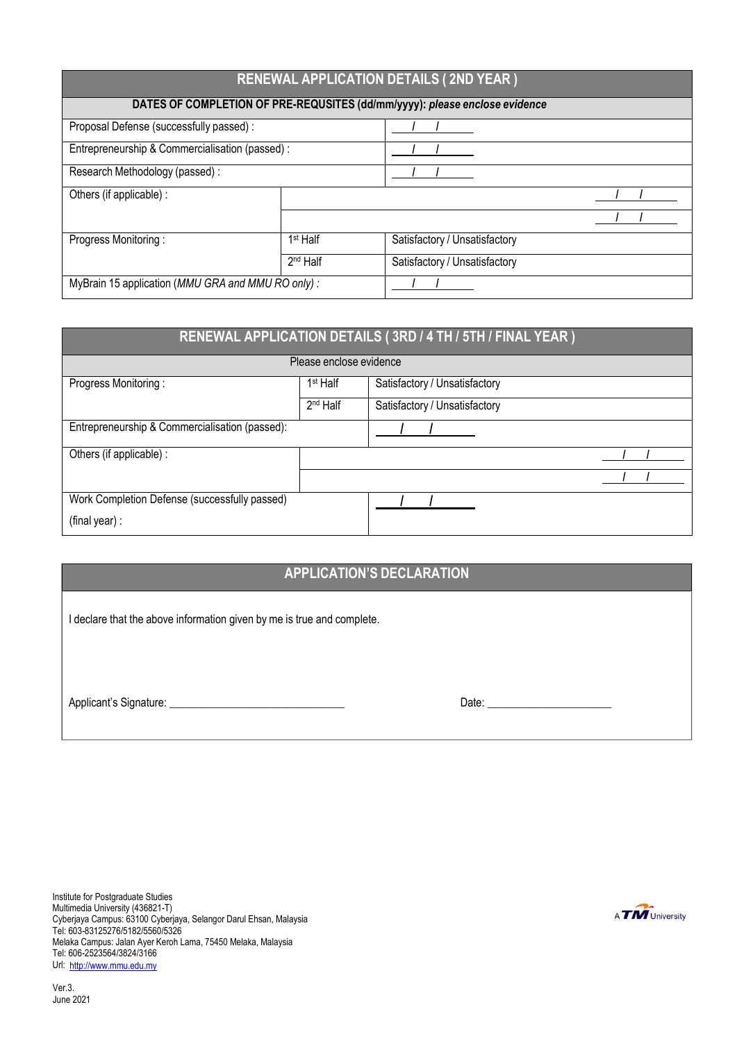| <b>RENEWAL APPLICATION DETAILS (2ND YEAR)</b>                              |                               |                               |  |  |  |  |
|----------------------------------------------------------------------------|-------------------------------|-------------------------------|--|--|--|--|
| DATES OF COMPLETION OF PRE-REQUSITES (dd/mm/yyyy): please enclose evidence |                               |                               |  |  |  |  |
| Proposal Defense (successfully passed) :                                   |                               |                               |  |  |  |  |
| Entrepreneurship & Commercialisation (passed) :                            |                               |                               |  |  |  |  |
| Research Methodology (passed) :                                            |                               |                               |  |  |  |  |
| Others (if applicable) :                                                   |                               |                               |  |  |  |  |
|                                                                            |                               |                               |  |  |  |  |
| Progress Monitoring:                                                       | $1st$ Half                    | Satisfactory / Unsatisfactory |  |  |  |  |
|                                                                            | Satisfactory / Unsatisfactory |                               |  |  |  |  |
| MyBrain 15 application (MMU GRA and MMU RO only):                          |                               |                               |  |  |  |  |

| RENEWAL APPLICATION DETAILS (3RD / 4 TH / 5TH / FINAL YEAR ) |                      |                               |  |  |  |
|--------------------------------------------------------------|----------------------|-------------------------------|--|--|--|
| Please enclose evidence                                      |                      |                               |  |  |  |
| Progress Monitoring:                                         | 1 <sup>st</sup> Half | Satisfactory / Unsatisfactory |  |  |  |
|                                                              | 2 <sup>nd</sup> Half | Satisfactory / Unsatisfactory |  |  |  |
| Entrepreneurship & Commercialisation (passed):               |                      |                               |  |  |  |
| Others (if applicable) :                                     |                      |                               |  |  |  |
|                                                              |                      |                               |  |  |  |
| Work Completion Defense (successfully passed)                |                      |                               |  |  |  |
| (final year) :                                               |                      |                               |  |  |  |

## **APPLICATION'S DECLARATION**

I declare that the above information given by me is true and complete.

Applicant's Signature: \_\_\_\_\_\_\_\_\_\_\_\_\_\_\_\_\_\_\_\_\_\_\_\_\_\_\_\_\_\_\_ Date: \_\_\_\_\_\_\_\_\_\_\_\_\_\_\_\_\_\_\_\_\_\_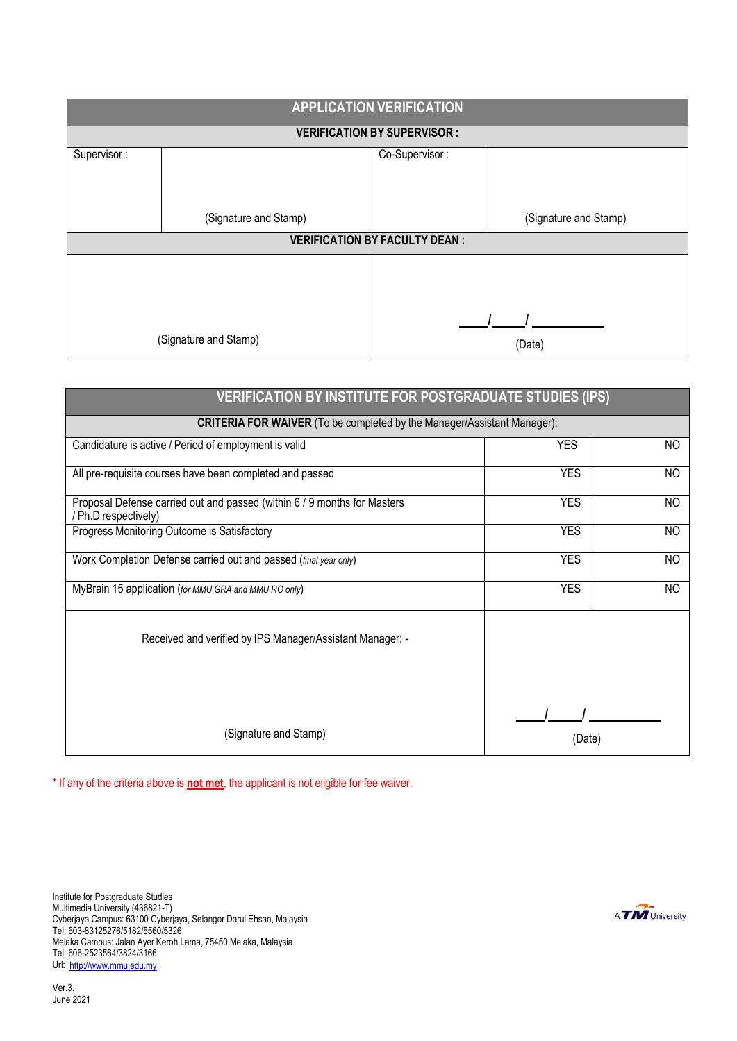| <b>APPLICATION VERIFICATION</b>    |                       |                                      |                       |  |  |
|------------------------------------|-----------------------|--------------------------------------|-----------------------|--|--|
| <b>VERIFICATION BY SUPERVISOR:</b> |                       |                                      |                       |  |  |
| Supervisor:                        |                       | Co-Supervisor:                       |                       |  |  |
|                                    |                       |                                      |                       |  |  |
|                                    |                       |                                      |                       |  |  |
|                                    | (Signature and Stamp) |                                      | (Signature and Stamp) |  |  |
|                                    |                       | <b>VERIFICATION BY FACULTY DEAN:</b> |                       |  |  |
|                                    |                       |                                      |                       |  |  |
|                                    |                       |                                      |                       |  |  |
|                                    |                       |                                      |                       |  |  |
| (Signature and Stamp)              |                       |                                      |                       |  |  |
|                                    |                       |                                      | (Date)                |  |  |

| <b>VERIFICATION BY INSTITUTE FOR POSTGRADUATE STUDIES (IPS)</b>                                  |            |           |  |  |  |  |  |
|--------------------------------------------------------------------------------------------------|------------|-----------|--|--|--|--|--|
| <b>CRITERIA FOR WAIVER</b> (To be completed by the Manager/Assistant Manager):                   |            |           |  |  |  |  |  |
| Candidature is active / Period of employment is valid                                            | <b>YES</b> | NO.       |  |  |  |  |  |
| All pre-requisite courses have been completed and passed                                         | <b>YES</b> | NO.       |  |  |  |  |  |
| Proposal Defense carried out and passed (within 6 / 9 months for Masters<br>/ Ph.D respectively) | <b>YES</b> | NO.       |  |  |  |  |  |
| Progress Monitoring Outcome is Satisfactory                                                      | <b>YES</b> | NO        |  |  |  |  |  |
| Work Completion Defense carried out and passed (final year only)                                 | <b>YES</b> | <b>NO</b> |  |  |  |  |  |
| MyBrain 15 application (for MMU GRA and MMU RO only)                                             | <b>YES</b> | NO        |  |  |  |  |  |
| Received and verified by IPS Manager/Assistant Manager: -                                        |            |           |  |  |  |  |  |
| (Signature and Stamp)                                                                            | (Date)     |           |  |  |  |  |  |

\* If any of the criteria above is **not met**, the applicant is not eligible for fee waiver.

Institute for Postgraduate Studies Multimedia University (436821-T) Cyberjaya Campus: 63100 Cyberjaya, Selangor Darul Ehsan, Malaysia Tel: 603-83125276/5182/5560/5326 Melaka Campus: Jalan Ayer Keroh Lama, 75450 Melaka, Malaysia Tel: 606-2523564/3824/3166 Url: [http://www.mmu.edu.my](http://www.mmu.edu.my/)

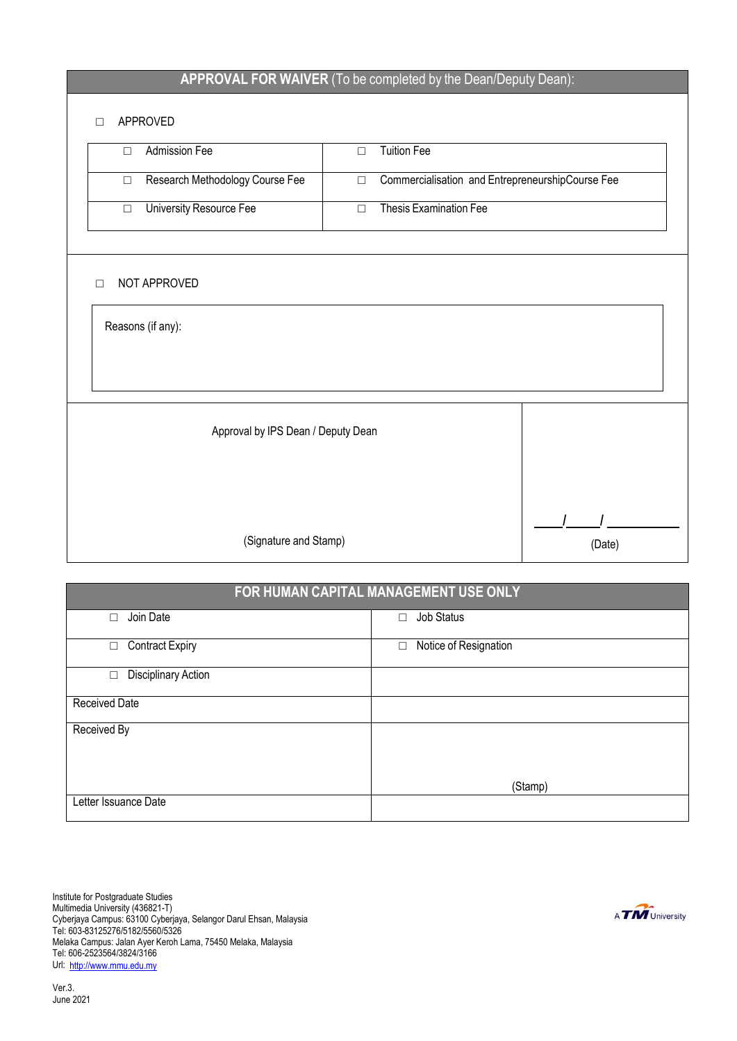## **APPROVAL FOR WAIVER** (To be completed by the Dean/Deputy Dean):

## □ APPROVED

|                       | ىسا<br>$\sim$                             |        |                                                  |        |  |  |  |
|-----------------------|-------------------------------------------|--------|--------------------------------------------------|--------|--|--|--|
|                       | <b>Admission Fee</b><br>$\Box$            | $\Box$ | <b>Tuition Fee</b>                               |        |  |  |  |
|                       | Research Methodology Course Fee<br>$\Box$ | $\Box$ | Commercialisation and EntrepreneurshipCourse Fee |        |  |  |  |
|                       | University Resource Fee<br>$\Box$         | $\Box$ | Thesis Examination Fee                           |        |  |  |  |
|                       |                                           |        |                                                  |        |  |  |  |
|                       | NOT APPROVED<br>П                         |        |                                                  |        |  |  |  |
| Reasons (if any):     |                                           |        |                                                  |        |  |  |  |
|                       |                                           |        |                                                  |        |  |  |  |
|                       |                                           |        |                                                  |        |  |  |  |
|                       | Approval by IPS Dean / Deputy Dean        |        |                                                  |        |  |  |  |
|                       |                                           |        |                                                  |        |  |  |  |
|                       |                                           |        |                                                  |        |  |  |  |
|                       |                                           |        |                                                  |        |  |  |  |
| (Signature and Stamp) |                                           |        |                                                  | (Date) |  |  |  |

# **FOR HUMAN CAPITAL MANAGEMENT USE ONLY** □ Join Date □ Job Status □ Contract Expiry <br>□ Notice of Resignation □ Disciplinary Action Received Date Received By (Stamp)

Institute for Postgraduate Studies Multimedia University (436821-T) Cyberjaya Campus: 63100 Cyberjaya, Selangor Darul Ehsan, Malaysia Tel: 603-83125276/5182/5560/5326 Melaka Campus: Jalan Ayer Keroh Lama, 75450 Melaka, Malaysia Tel: 606-2523564/3824/3166 Url: [http://www.mmu.edu.my](http://www.mmu.edu.my/)

Letter Issuance Date